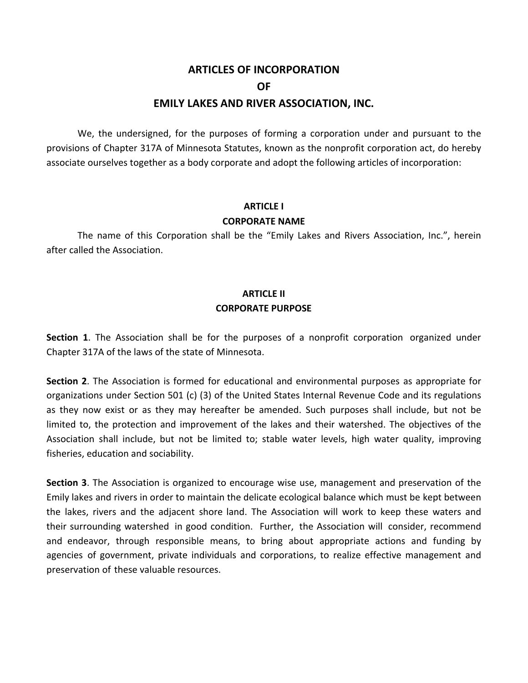# **ARTICLES OF INCORPORATION OF EMILY LAKES AND RIVER ASSOCIATION, INC.**

We, the undersigned, for the purposes of forming a corporation under and pursuant to the provisions of Chapter 317A of Minnesota Statutes, known as the nonprofit corporation act, do hereby associate ourselves together as a body corporate and adopt the following articles of incorporation:

# **ARTICLE I CORPORATE NAME**

The name of this Corporation shall be the "Emily Lakes and Rivers Association, Inc.", herein after called the Association.

## **ARTICLE II CORPORATE PURPOSE**

**Section 1**. The Association shall be for the purposes of a nonprofit corporation organized under Chapter 317A of the laws of the state of Minnesota.

**Section 2**. The Association is formed for educational and environmental purposes as appropriate for organizations under Section 501 (c) (3) of the United States Internal Revenue Code and its regulations as they now exist or as they may hereafter be amended. Such purposes shall include, but not be limited to, the protection and improvement of the lakes and their watershed. The objectives of the Association shall include, but not be limited to; stable water levels, high water quality, improving fisheries, education and sociability.

**Section 3**. The Association is organized to encourage wise use, management and preservation of the Emily lakes and rivers in order to maintain the delicate ecological balance which must be kept between the lakes, rivers and the adjacent shore land. The Association will work to keep these waters and their surrounding watershed in good condition. Further, the Association will consider, recommend and endeavor, through responsible means, to bring about appropriate actions and funding by agencies of government, private individuals and corporations, to realize effective management and preservation of these valuable resources.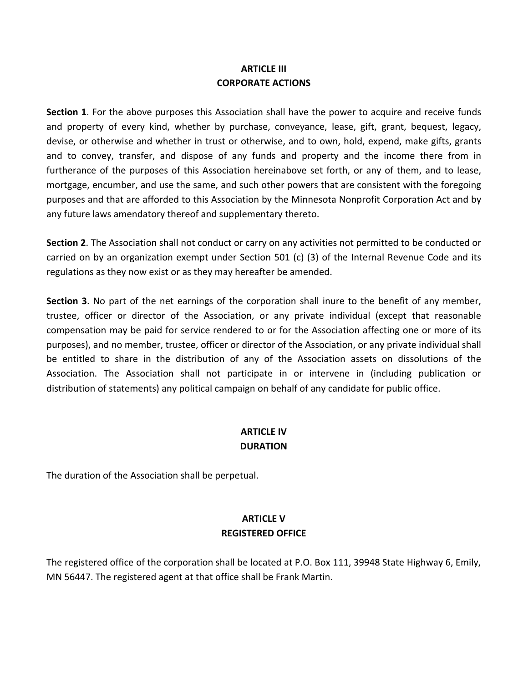## **ARTICLE III CORPORATE ACTIONS**

**Section 1**. For the above purposes this Association shall have the power to acquire and receive funds and property of every kind, whether by purchase, conveyance, lease, gift, grant, bequest, legacy, devise, or otherwise and whether in trust or otherwise, and to own, hold, expend, make gifts, grants and to convey, transfer, and dispose of any funds and property and the income there from in furtherance of the purposes of this Association hereinabove set forth, or any of them, and to lease, mortgage, encumber, and use the same, and such other powers that are consistent with the foregoing purposes and that are afforded to this Association by the Minnesota Nonprofit Corporation Act and by any future laws amendatory thereof and supplementary thereto.

**Section 2.** The Association shall not conduct or carry on any activities not permitted to be conducted or carried on by an organization exempt under Section 501 (c) (3) of the Internal Revenue Code and its regulations as they now exist or as they may hereafter be amended.

**Section 3**. No part of the net earnings of the corporation shall inure to the benefit of any member, trustee, officer or director of the Association, or any private individual (except that reasonable compensation may be paid for service rendered to or for the Association affecting one or more of its purposes), and no member, trustee, officer or director of the Association, or any private individual shall be entitled to share in the distribution of any of the Association assets on dissolutions of the Association. The Association shall not participate in or intervene in (including publication or distribution of statements) any political campaign on behalf of any candidate for public office.

## **ARTICLE IV DURATION**

The duration of the Association shall be perpetual.

# **ARTICLE V REGISTERED OFFICE**

The registered office of the corporation shall be located at P.O. Box 111, 39948 State Highway 6, Emily, MN 56447. The registered agent at that office shall be Frank Martin.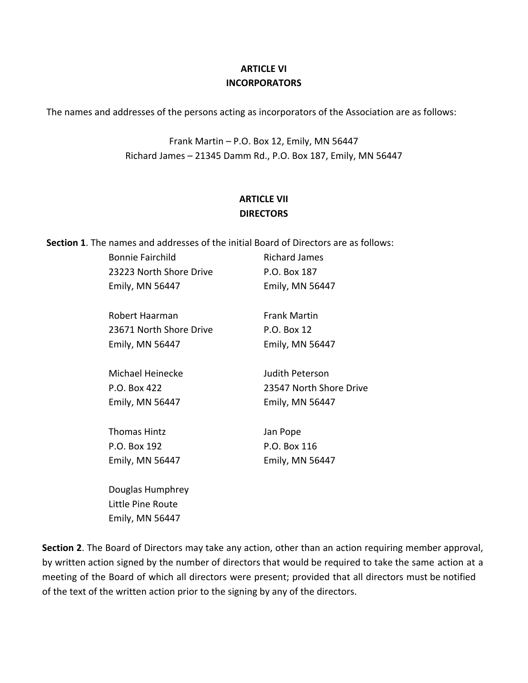## **ARTICLE VI INCORPORATORS**

The names and addresses of the persons acting as incorporators of the Association are as follows:

Frank Martin  $-$  P.O. Box 12, Emily, MN 56447 Richard James - 21345 Damm Rd., P.O. Box 187, Emily, MN 56447

# **ARTICLE VII DIRECTORS**

**Section 1**. The names and addresses of the initial Board of Directors are as follows:

| <b>Bonnie Fairchild</b> | <b>Richard James</b>    |
|-------------------------|-------------------------|
| 23223 North Shore Drive | P.O. Box 187            |
| Emily, MN 56447         | Emily, MN 56447         |
|                         |                         |
| Robert Haarman          | <b>Frank Martin</b>     |
| 23671 North Shore Drive | P.O. Box 12             |
| Emily, MN 56447         | Emily, MN 56447         |
|                         |                         |
| Michael Heinecke        | Judith Peterson         |
| P.O. Box 422            | 23547 North Shore Drive |
| Emily, MN 56447         | Emily, MN 56447         |
|                         |                         |
| <b>Thomas Hintz</b>     | Jan Pope                |
| P.O. Box 192            | P.O. Box 116            |
| Emily, MN 56447         | Emily, MN 56447         |
|                         |                         |
| Douglas Humphrey        |                         |
| Little Pine Route       |                         |

Emily, MN 56447

**Section 2.** The Board of Directors may take any action, other than an action requiring member approval, by written action signed by the number of directors that would be required to take the same action at a meeting of the Board of which all directors were present; provided that all directors must be notified of the text of the written action prior to the signing by any of the directors.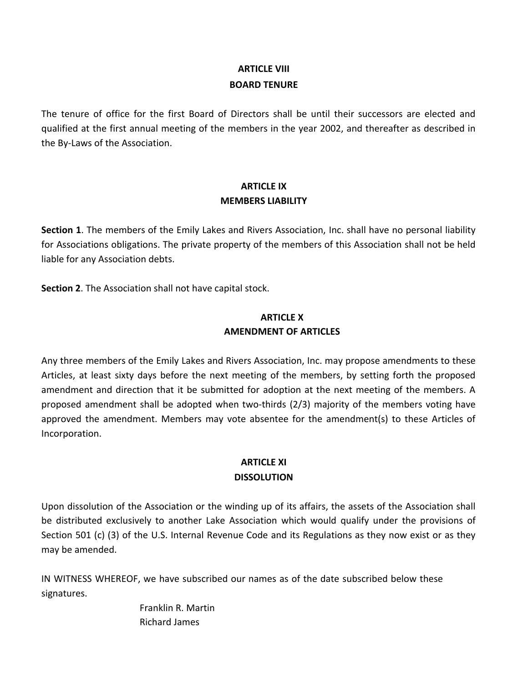# **ARTICLF VIII BOARD TENURE**

The tenure of office for the first Board of Directors shall be until their successors are elected and qualified at the first annual meeting of the members in the year 2002, and thereafter as described in the By-Laws of the Association.

## **ARTICLE IX MEMBERS LIABILITY**

**Section 1**. The members of the Emily Lakes and Rivers Association, Inc. shall have no personal liability for Associations obligations. The private property of the members of this Association shall not be held liable for any Association debts.

**Section 2.** The Association shall not have capital stock.

### **ARTICLE X AMENDMENT OF ARTICLES**

Any three members of the Emily Lakes and Rivers Association, Inc. may propose amendments to these Articles, at least sixty days before the next meeting of the members, by setting forth the proposed amendment and direction that it be submitted for adoption at the next meeting of the members. A proposed amendment shall be adopted when two-thirds (2/3) majority of the members voting have approved the amendment. Members may vote absentee for the amendment(s) to these Articles of Incorporation.

# **ARTICLE XI DISSOLUTION**

Upon dissolution of the Association or the winding up of its affairs, the assets of the Association shall be distributed exclusively to another Lake Association which would qualify under the provisions of Section 501 (c) (3) of the U.S. Internal Revenue Code and its Regulations as they now exist or as they may be amended.

IN WITNESS WHEREOF, we have subscribed our names as of the date subscribed below these signatures.

> Franklin R. Martin Richard James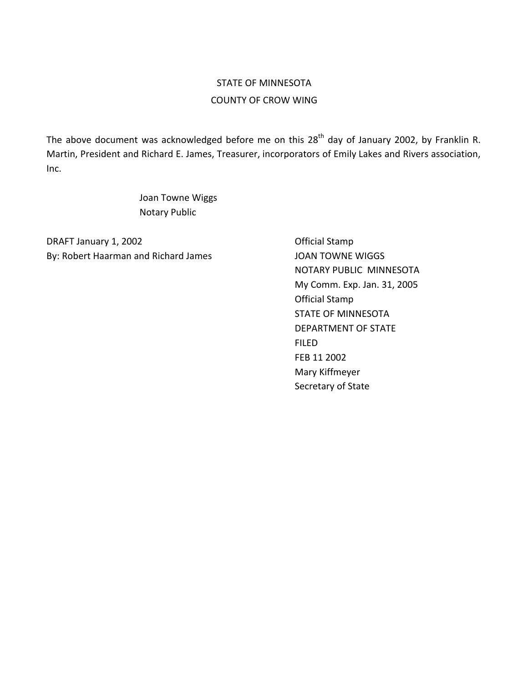# STATE OF MINNESOTA COUNTY OF CROW WING

The above document was acknowledged before me on this  $28<sup>th</sup>$  day of January 2002, by Franklin R. Martin, President and Richard E. James, Treasurer, incorporators of Emily Lakes and Rivers association, Inc.

> Joan Towne Wiggs Notary Public

DRAFT January 1, 2002 **DRAFT** January 1, 2002 By: Robert Haarman and Richard James JOAN TOWNE WIGGS

NOTARY PUBLIC MINNESOTA My Comm. Exp. Jan. 31, 2005 Official Stamp STATE OF MINNESOTA DEPARTMENT OF STATE FILED FEB 11 2002 Mary Kiffmeyer Secretary of State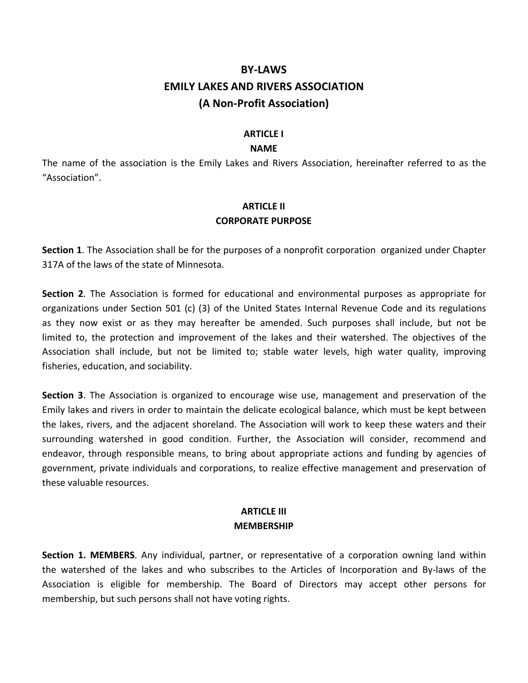# **BY-LAWS EMILY LAKES AND RIVERS ASSOCIATION (A Non-Profit Association)**

#### **ARTICLE** I

#### **NAME**

The name of the association is the Emily Lakes and Rivers Association, hereinafter referred to as the "Association".

#### **ARTICLE II CORPORATE PURPOSE**

**Section 1.** The Association shall be for the purposes of a nonprofit corporation organized under Chapter 317A of the laws of the state of Minnesota.

**Section 2**. The Association is formed for educational and environmental purposes as appropriate for organizations under Section 501 (c) (3) of the United States Internal Revenue Code and its regulations as they now exist or as they may hereafter be amended. Such purposes shall include, but not be limited to, the protection and improvement of the lakes and their watershed. The objectives of the Association shall include, but not be limited to; stable water levels, high water quality, improving fisheries, education, and sociability.

**Section 3**. The Association is organized to encourage wise use, management and preservation of the Emily lakes and rivers in order to maintain the delicate ecological balance, which must be kept between the lakes, rivers, and the adjacent shoreland. The Association will work to keep these waters and their surrounding watershed in good condition. Further, the Association will consider, recommend and endeavor, through responsible means, to bring about appropriate actions and funding by agencies of government, private individuals and corporations, to realize effective management and preservation of these valuable resources.

### **ARTICLE III MEMBERSHIP**

**Section 1. MEMBERS**. Any individual, partner, or representative of a corporation owning land within the watershed of the lakes and who subscribes to the Articles of Incorporation and By-laws of the Association is eligible for membership. The Board of Directors may accept other persons for membership, but such persons shall not have voting rights.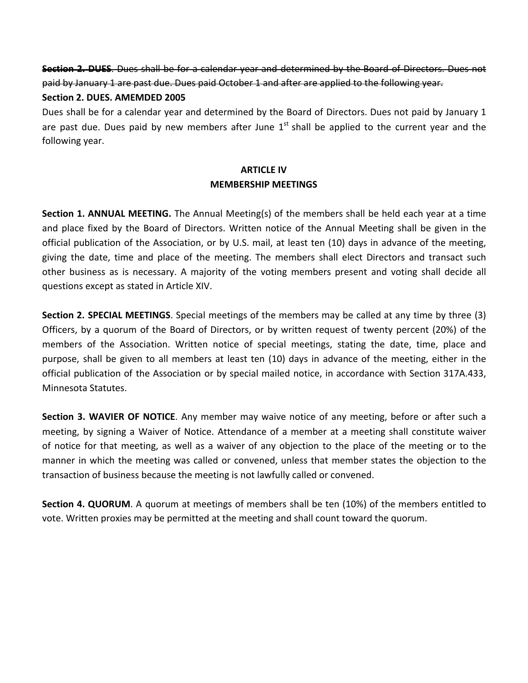**Section 2. DUES**. Dues shall be for a calendar year and determined by the Board of Directors. Dues not paid by January 1 are past due. Dues paid October 1 and after are applied to the following year.

#### Section 2. DUES. AMEMDED 2005

Dues shall be for a calendar year and determined by the Board of Directors. Dues not paid by January 1 are past due. Dues paid by new members after June  $1<sup>st</sup>$  shall be applied to the current year and the following year.

### **ARTICLE IV MEMBERSHIP MEETINGS**

**Section 1. ANNUAL MEETING.** The Annual Meeting(s) of the members shall be held each year at a time and place fixed by the Board of Directors. Written notice of the Annual Meeting shall be given in the official publication of the Association, or by U.S. mail, at least ten (10) days in advance of the meeting, giving the date, time and place of the meeting. The members shall elect Directors and transact such other business as is necessary. A majority of the voting members present and voting shall decide all questions except as stated in Article XIV.

**Section 2. SPECIAL MEETINGS**. Special meetings of the members may be called at any time by three (3) Officers, by a quorum of the Board of Directors, or by written request of twenty percent (20%) of the members of the Association. Written notice of special meetings, stating the date, time, place and purpose, shall be given to all members at least ten (10) days in advance of the meeting, either in the official publication of the Association or by special mailed notice, in accordance with Section 317A.433, Minnesota Statutes.

**Section 3. WAVIER OF NOTICE**. Any member may waive notice of any meeting, before or after such a meeting, by signing a Waiver of Notice. Attendance of a member at a meeting shall constitute waiver of notice for that meeting, as well as a waiver of any objection to the place of the meeting or to the manner in which the meeting was called or convened, unless that member states the objection to the transaction of business because the meeting is not lawfully called or convened.

**Section 4. QUORUM**. A quorum at meetings of members shall be ten (10%) of the members entitled to vote. Written proxies may be permitted at the meeting and shall count toward the quorum.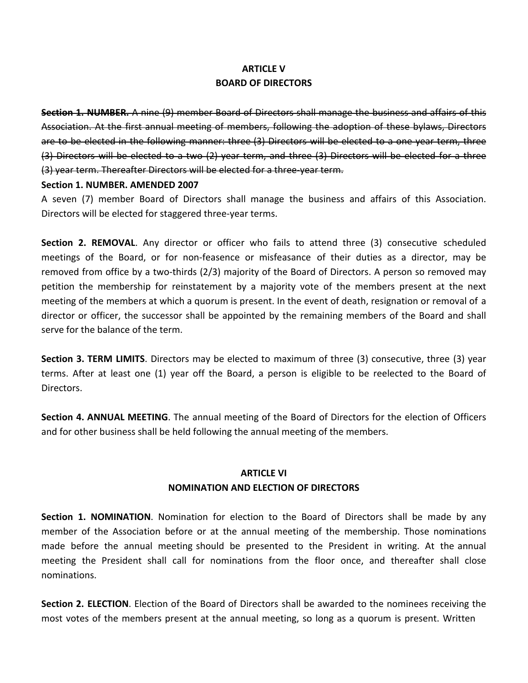# **ARTICLF V BOARD OF DIRECTORS**

**Section 1. NUMBER.** A nine (9) member Board of Directors shall manage the business and affairs of this Association. At the first annual meeting of members, following the adoption of these bylaws, Directors are to be elected in the following manner: three (3) Directors will be elected to a one year term, three (3) Directors will be elected to a two (2) year term, and three (3) Directors will be elected for a three (3) year term. Thereafter Directors will be elected for a three-year term.

#### Section 1. NUMBER. AMENDED 2007

A seven (7) member Board of Directors shall manage the business and affairs of this Association. Directors will be elected for staggered three-year terms.

**Section 2. REMOVAL.** Any director or officer who fails to attend three (3) consecutive scheduled meetings of the Board, or for non-feasence or misfeasance of their duties as a director, may be removed from office by a two-thirds  $(2/3)$  majority of the Board of Directors. A person so removed may petition the membership for reinstatement by a majority vote of the members present at the next meeting of the members at which a quorum is present. In the event of death, resignation or removal of a director or officer, the successor shall be appointed by the remaining members of the Board and shall serve for the balance of the term.

**Section 3. TERM LIMITS**. Directors may be elected to maximum of three (3) consecutive, three (3) year terms. After at least one (1) year off the Board, a person is eligible to be reelected to the Board of Directors.

**Section 4. ANNUAL MEETING**. The annual meeting of the Board of Directors for the election of Officers and for other business shall be held following the annual meeting of the members.

### **ARTICLE VI NOMINATION AND ELECTION OF DIRECTORS**

**Section 1. NOMINATION**. Nomination for election to the Board of Directors shall be made by any member of the Association before or at the annual meeting of the membership. Those nominations made before the annual meeting should be presented to the President in writing. At the annual meeting the President shall call for nominations from the floor once, and thereafter shall close nominations.

**Section 2. ELECTION**. Election of the Board of Directors shall be awarded to the nominees receiving the most votes of the members present at the annual meeting, so long as a quorum is present. Written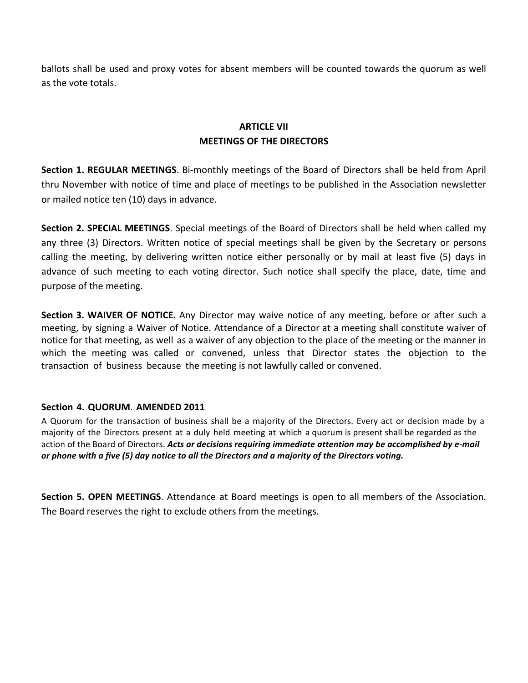ballots shall be used and proxy votes for absent members will be counted towards the quorum as well as the vote totals.

# **ARTICLE VII MEETINGS OF THE DIRECTORS**

**Section 1. REGULAR MEETINGS**. Bi-monthly meetings of the Board of Directors shall be held from April thru November with notice of time and place of meetings to be published in the Association newsletter or mailed notice ten (10) days in advance.

**Section 2. SPECIAL MEETINGS**. Special meetings of the Board of Directors shall be held when called my any three (3) Directors. Written notice of special meetings shall be given by the Secretary or persons calling the meeting, by delivering written notice either personally or by mail at least five (5) days in advance of such meeting to each voting director. Such notice shall specify the place, date, time and purpose of the meeting.

**Section 3. WAIVER OF NOTICE.** Any Director may waive notice of any meeting, before or after such a meeting, by signing a Waiver of Notice. Attendance of a Director at a meeting shall constitute waiver of notice for that meeting, as well as a waiver of any objection to the place of the meeting or the manner in which the meeting was called or convened, unless that Director states the objection to the transaction of business because the meeting is not lawfully called or convened.

#### **Section 4. QUORUM**. **AMENDED 2011**

A Quorum for the transaction of business shall be a majority of the Directors. Every act or decision made by a majority of the Directors present at a duly held meeting at which a quorum is present shall be regarded as the action of the Board of Directors. Acts or decisions requiring immediate attention may be accomplished by e-mail or phone with a five (5) day notice to all the Directors and a majority of the Directors voting.

**Section 5. OPEN MEETINGS**. Attendance at Board meetings is open to all members of the Association. The Board reserves the right to exclude others from the meetings.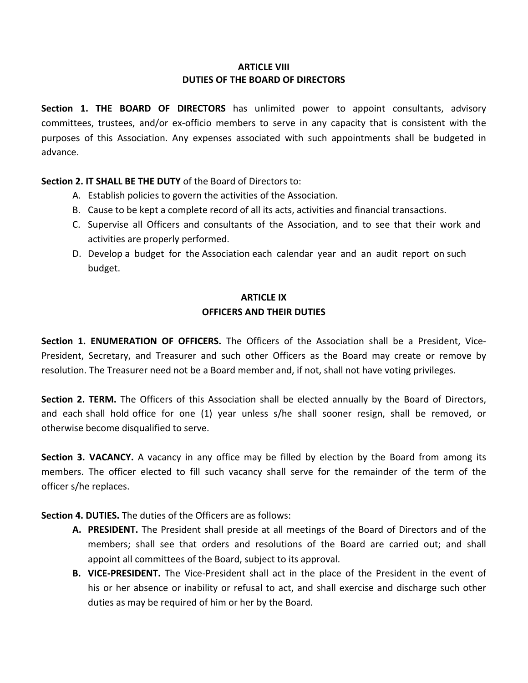#### **ARTICLE VIII DUTIES OF THE BOARD OF DIRECTORS**

**Section 1. THE BOARD OF DIRECTORS** has unlimited power to appoint consultants, advisory committees, trustees, and/or ex-officio members to serve in any capacity that is consistent with the purposes of this Association. Any expenses associated with such appointments shall be budgeted in advance.

**Section 2. IT SHALL BE THE DUTY** of the Board of Directors to:

- A. Establish policies to govern the activities of the Association.
- B. Cause to be kept a complete record of all its acts, activities and financial transactions.
- C. Supervise all Officers and consultants of the Association, and to see that their work and activities are properly performed.
- D. Develop a budget for the Association each calendar year and an audit report on such budget.

# **ARTICLE IX OFFICERS AND THEIR DUTIES**

**Section 1. ENUMERATION OF OFFICERS.** The Officers of the Association shall be a President, Vice-President, Secretary, and Treasurer and such other Officers as the Board may create or remove by resolution. The Treasurer need not be a Board member and, if not, shall not have voting privileges.

**Section 2. TERM.** The Officers of this Association shall be elected annually by the Board of Directors, and each shall hold office for one (1) year unless s/he shall sooner resign, shall be removed, or otherwise become disqualified to serve.

**Section 3. VACANCY.** A vacancy in any office may be filled by election by the Board from among its members. The officer elected to fill such vacancy shall serve for the remainder of the term of the officer s/he replaces.

**Section 4. DUTIES.** The duties of the Officers are as follows:

- **A. PRESIDENT.** The President shall preside at all meetings of the Board of Directors and of the members; shall see that orders and resolutions of the Board are carried out; and shall appoint all committees of the Board, subject to its approval.
- **B. VICE-PRESIDENT.** The Vice-President shall act in the place of the President in the event of his or her absence or inability or refusal to act, and shall exercise and discharge such other duties as may be required of him or her by the Board.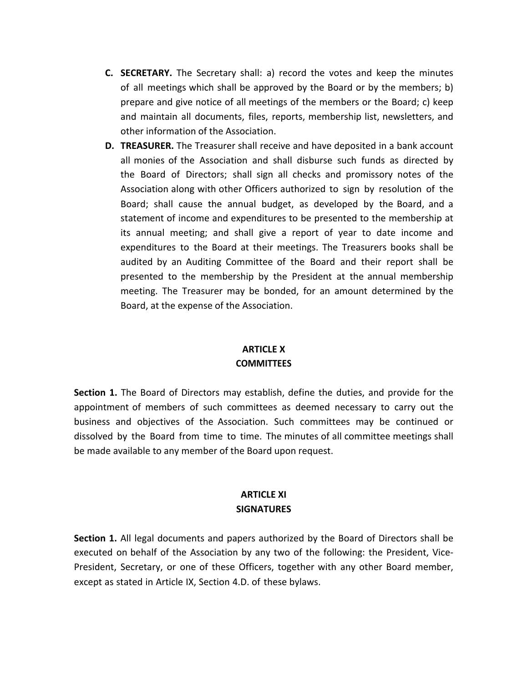- **C. SECRETARY.** The Secretary shall: a) record the votes and keep the minutes of all meetings which shall be approved by the Board or by the members; b) prepare and give notice of all meetings of the members or the Board; c) keep and maintain all documents, files, reports, membership list, newsletters, and other information of the Association.
- **D. TREASURER.** The Treasurer shall receive and have deposited in a bank account all monies of the Association and shall disburse such funds as directed by the Board of Directors; shall sign all checks and promissory notes of the Association along with other Officers authorized to sign by resolution of the Board; shall cause the annual budget, as developed by the Board, and a statement of income and expenditures to be presented to the membership at its annual meeting; and shall give a report of year to date income and expenditures to the Board at their meetings. The Treasurers books shall be audited by an Auditing Committee of the Board and their report shall be presented to the membership by the President at the annual membership meeting. The Treasurer may be bonded, for an amount determined by the Board, at the expense of the Association.

## **ARTICLEX COMMITTEES**

**Section 1.** The Board of Directors may establish, define the duties, and provide for the appointment of members of such committees as deemed necessary to carry out the business and objectives of the Association. Such committees may be continued or dissolved by the Board from time to time. The minutes of all committee meetings shall be made available to any member of the Board upon request.

#### **ARTICLE XI SIGNATURES**

**Section 1.** All legal documents and papers authorized by the Board of Directors shall be executed on behalf of the Association by any two of the following: the President, Vice-President, Secretary, or one of these Officers, together with any other Board member, except as stated in Article IX, Section 4.D. of these bylaws.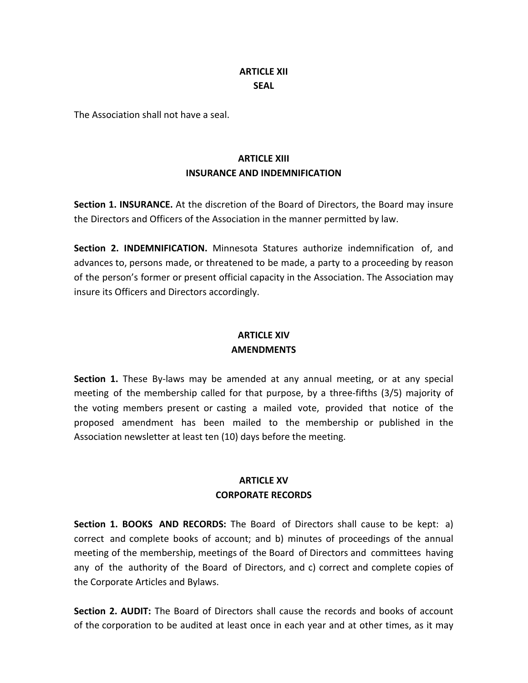### **ARTICLE XII SEAL**

The Association shall not have a seal.

# **ARTICLE XIII INSURANCE AND INDEMNIFICATION**

**Section 1. INSURANCE.** At the discretion of the Board of Directors, the Board may insure the Directors and Officers of the Association in the manner permitted by law.

**Section 2. INDEMNIFICATION.** Minnesota Statures authorize indemnification of, and advances to, persons made, or threatened to be made, a party to a proceeding by reason of the person's former or present official capacity in the Association. The Association may insure its Officers and Directors accordingly.

### **ARTICLE XIV AMENDMENTS**

**Section 1.** These By-laws may be amended at any annual meeting, or at any special meeting of the membership called for that purpose, by a three-fifths  $(3/5)$  majority of the voting members present or casting a mailed vote, provided that notice of the proposed amendment has been mailed to the membership or published in the Association newsletter at least ten (10) days before the meeting.

## **ARTICLE XV CORPORATE RECORDS**

**Section 1. BOOKS AND RECORDS:** The Board of Directors shall cause to be kept: a) correct and complete books of account; and b) minutes of proceedings of the annual meeting of the membership, meetings of the Board of Directors and committees having any of the authority of the Board of Directors, and c) correct and complete copies of the Corporate Articles and Bylaws.

**Section 2. AUDIT:** The Board of Directors shall cause the records and books of account of the corporation to be audited at least once in each year and at other times, as it may